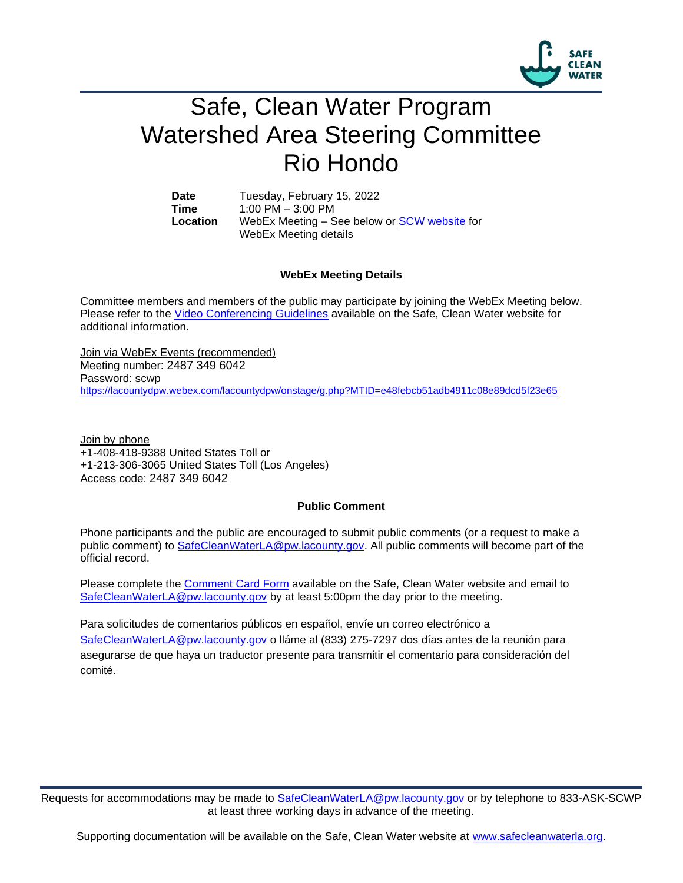

## Safe, Clean Water Program Watershed Area Steering Committee Rio Hondo

**Date** Tuesday, February 15, 2022 **Time** 1:00 PM – 3:00 PM **Location** WebEx Meeting – See below or [SCW website](https://safecleanwaterla.org/rio-hondo-watershed-area/) for WebEx Meeting details

## **WebEx Meeting Details**

Committee members and members of the public may participate by joining the WebEx Meeting below. Please refer to the [Video Conferencing Guidelines](https://safecleanwaterla.org/video-conference-guidelines/) available on the Safe, Clean Water website for additional information.

Join via WebEx Events (recommended) Meeting number: 2487 349 6042 Password: scwp <https://lacountydpw.webex.com/lacountydpw/onstage/g.php?MTID=e48febcb51adb4911c08e89dcd5f23e65>

Join by phone +1-408-418-9388 United States Toll or +1-213-306-3065 United States Toll (Los Angeles) Access code: 2487 349 6042

## **Public Comment**

Phone participants and the public are encouraged to submit public comments (or a request to make a public comment) to [SafeCleanWaterLA@pw.lacounty.gov.](mailto:SafeCleanWaterLA@pw.lacounty.gov) All public comments will become part of the official record.

Please complete the Comment [Card Form](https://safecleanwaterla.org/wp-content/uploads/2020/04/Comment-Card-Form.pdf) available on the Safe, Clean Water website and email to [SafeCleanWaterLA@pw.lacounty.gov](mailto:SafeCleanWaterLA@pw.lacounty.govb) by at least 5:00pm the day prior to the meeting.

Para solicitudes de comentarios públicos en español, envíe un correo electrónico a [SafeCleanWaterLA@pw.lacounty.gov](mailto:SafeCleanWaterLA@pw.lacounty.gov) o lláme al (833) 275-7297 dos días antes de la reunión para asegurarse de que haya un traductor presente para transmitir el comentario para consideración del comité.

Requests for accommodations may be made to [SafeCleanWaterLA@pw.lacounty.gov](mailto:SafeCleanWaterLA@pw.lacounty.gov) or by telephone to 833-ASK-SCWP at least three working days in advance of the meeting.

Supporting documentation will be available on the Safe, Clean Water website at [www.safecleanwaterla.org.](http://www.safecleanwaterla.org/)